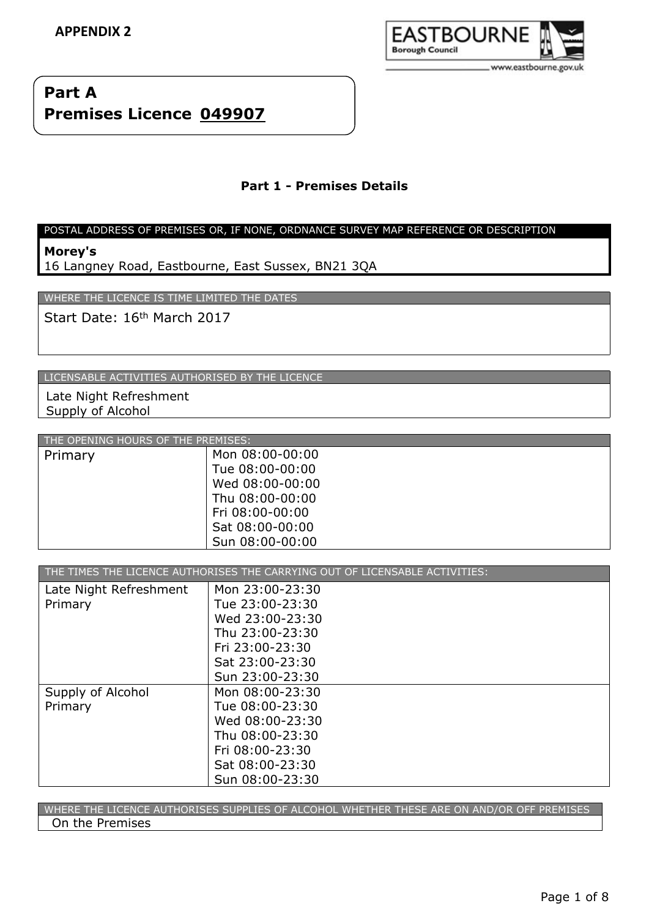

# **Part A Premises Licence 049907**

# **Part 1 - Premises Details**

#### POSTAL ADDRESS OF PREMISES OR, IF NONE, ORDNANCE SURVEY MAP REFERENCE OR DESCRIPTION

**Morey's**

16 Langney Road, Eastbourne, East Sussex, BN21 3QA

WHERE THE LICENCE IS TIME LIMITED THE DATES

Start Date: 16<sup>th</sup> March 2017

LICENSABLE ACTIVITIES AUTHORISED BY THE LICENCE

Late Night Refreshment Supply of Alcohol

| THE OPENING HOURS OF THE PREMISES: |                 |
|------------------------------------|-----------------|
| Primary                            | Mon 08:00-00:00 |
|                                    | Tue 08:00-00:00 |
|                                    | Wed 08:00-00:00 |
|                                    | Thu 08:00-00:00 |
|                                    | Fri 08:00-00:00 |
|                                    | Sat 08:00-00:00 |
|                                    | Sun 08:00-00:00 |

| THE TIMES THE LICENCE AUTHORISES THE CARRYING OUT OF LICENSABLE ACTIVITIES: |                 |  |
|-----------------------------------------------------------------------------|-----------------|--|
| Late Night Refreshment                                                      | Mon 23:00-23:30 |  |
| Primary                                                                     | Tue 23:00-23:30 |  |
|                                                                             | Wed 23:00-23:30 |  |
|                                                                             | Thu 23:00-23:30 |  |
|                                                                             | Fri 23:00-23:30 |  |
|                                                                             | Sat 23:00-23:30 |  |
|                                                                             | Sun 23:00-23:30 |  |
| Supply of Alcohol                                                           | Mon 08:00-23:30 |  |
| Primary                                                                     | Tue 08:00-23:30 |  |
|                                                                             | Wed 08:00-23:30 |  |
|                                                                             | Thu 08:00-23:30 |  |
|                                                                             | Fri 08:00-23:30 |  |
|                                                                             | Sat 08:00-23:30 |  |
|                                                                             | Sun 08:00-23:30 |  |

WHERE THE LICENCE AUTHORISES SUPPLIES OF ALCOHOL WHETHER THESE ARE ON AND/OR OFF PREMISES On the Premises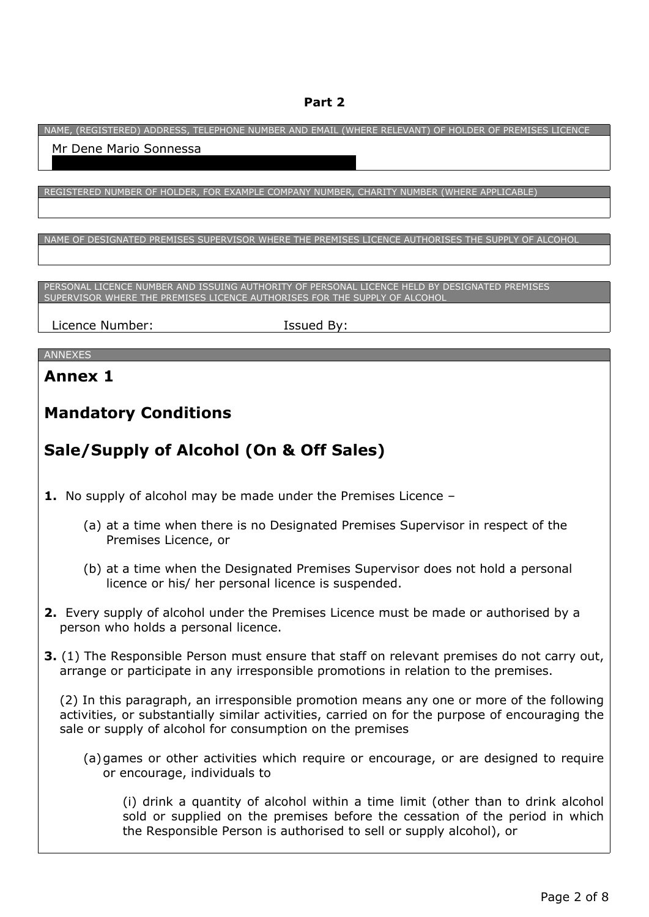# **Part 2**

NAME, (REGISTERED) ADDRESS, TELEPHONE NUMBER AND EMAIL (WHERE RELEVANT) OF HOLDER OF PREMISES LICENCE

| Mr Dene Mario Sonnessa                                                                                                                                                                                                                                  |
|---------------------------------------------------------------------------------------------------------------------------------------------------------------------------------------------------------------------------------------------------------|
| REGISTERED NUMBER OF HOLDER, FOR EXAMPLE COMPANY NUMBER, CHARITY NUMBER (WHERE APPLICABLE)                                                                                                                                                              |
| NAME OF DESIGNATED PREMISES SUPERVISOR WHERE THE PREMISES LICENCE AUTHORISES THE SUPPLY OF ALCOHOL                                                                                                                                                      |
| PERSONAL LICENCE NUMBER AND ISSUING AUTHORITY OF PERSONAL LICENCE HELD BY DESIGNATED PREMISES<br>SUPERVISOR WHERE THE PREMISES LICENCE AUTHORISES FOR THE SUPPLY OF ALCOHOL                                                                             |
| Licence Number:<br>Issued By:                                                                                                                                                                                                                           |
| <b>ANNEXES</b>                                                                                                                                                                                                                                          |
| <b>Annex 1</b>                                                                                                                                                                                                                                          |
| <b>Mandatory Conditions</b>                                                                                                                                                                                                                             |
| Sale/Supply of Alcohol (On & Off Sales)                                                                                                                                                                                                                 |
| <b>1.</b> No supply of alcohol may be made under the Premises Licence $-$                                                                                                                                                                               |
| (a) at a time when there is no Designated Premises Supervisor in respect of the<br>Premises Licence, or                                                                                                                                                 |
| (b) at a time when the Designated Premises Supervisor does not hold a personal<br>licence or his/ her personal licence is suspended.                                                                                                                    |
| 2. Every supply of alcohol under the Premises Licence must be made or authorised by a<br>person who holds a personal licence.                                                                                                                           |
| 3. (1) The Responsible Person must ensure that staff on relevant premises do not carry out,<br>arrange or participate in any irresponsible promotions in relation to the premises.                                                                      |
| (2) In this paragraph, an irresponsible promotion means any one or more of the following<br>activities, or substantially similar activities, carried on for the purpose of encouraging the<br>sale or supply of alcohol for consumption on the premises |
| (a) games or other activities which require or encourage, or are designed to require<br>or encourage, individuals to                                                                                                                                    |
| (i) drink a quantity of alcohol within a time limit (other than to drink alcohol<br>sold or supplied on the premises before the cessation of the period in which<br>the Responsible Person is authorised to sell or supply alcohol), or                 |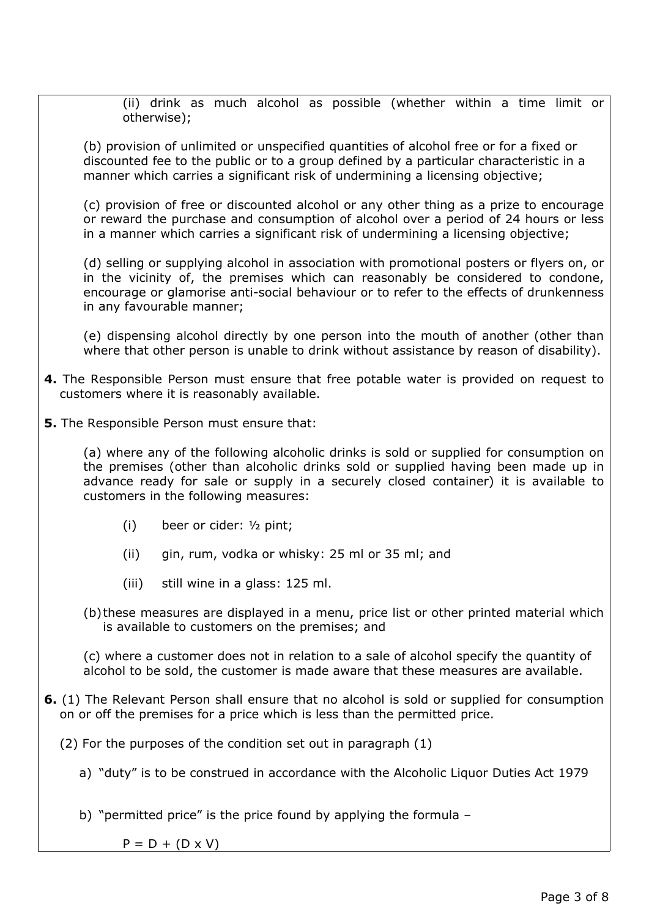(ii) drink as much alcohol as possible (whether within a time limit or otherwise);

(b) provision of unlimited or unspecified quantities of alcohol free or for a fixed or discounted fee to the public or to a group defined by a particular characteristic in a manner which carries a significant risk of undermining a licensing objective;

(c) provision of free or discounted alcohol or any other thing as a prize to encourage or reward the purchase and consumption of alcohol over a period of 24 hours or less in a manner which carries a significant risk of undermining a licensing objective;

(d) selling or supplying alcohol in association with promotional posters or flyers on, or in the vicinity of, the premises which can reasonably be considered to condone, encourage or glamorise anti-social behaviour or to refer to the effects of drunkenness in any favourable manner;

(e) dispensing alcohol directly by one person into the mouth of another (other than where that other person is unable to drink without assistance by reason of disability).

- **4.** The Responsible Person must ensure that free potable water is provided on request to customers where it is reasonably available.
- **5.** The Responsible Person must ensure that:

(a) where any of the following alcoholic drinks is sold or supplied for consumption on the premises (other than alcoholic drinks sold or supplied having been made up in advance ready for sale or supply in a securely closed container) it is available to customers in the following measures:

- (i) beer or cider: ½ pint;
- (ii) gin, rum, vodka or whisky: 25 ml or 35 ml; and
- (iii) still wine in a glass: 125 ml.
- (b)these measures are displayed in a menu, price list or other printed material which is available to customers on the premises; and

(c) where a customer does not in relation to a sale of alcohol specify the quantity of alcohol to be sold, the customer is made aware that these measures are available.

- **6.** (1) The Relevant Person shall ensure that no alcohol is sold or supplied for consumption on or off the premises for a price which is less than the permitted price.
	- (2) For the purposes of the condition set out in paragraph (1)
		- a) "duty" is to be construed in accordance with the Alcoholic Liquor Duties Act 1979
		- b) "permitted price" is the price found by applying the formula –

 $P = D + (D \times V)$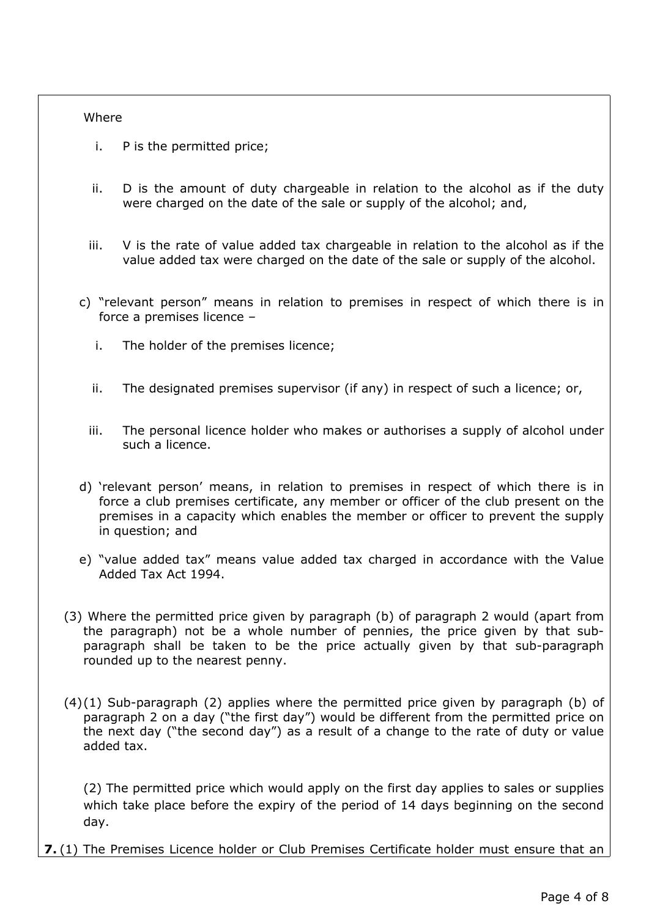#### **Where**

- i. P is the permitted price;
- ii. D is the amount of duty chargeable in relation to the alcohol as if the duty were charged on the date of the sale or supply of the alcohol; and,
- iii. V is the rate of value added tax chargeable in relation to the alcohol as if the value added tax were charged on the date of the sale or supply of the alcohol.
- c) "relevant person" means in relation to premises in respect of which there is in force a premises licence –
	- i. The holder of the premises licence;
	- ii. The designated premises supervisor (if any) in respect of such a licence; or,
	- iii. The personal licence holder who makes or authorises a supply of alcohol under such a licence.
- d) 'relevant person' means, in relation to premises in respect of which there is in force a club premises certificate, any member or officer of the club present on the premises in a capacity which enables the member or officer to prevent the supply in question; and
- e) "value added tax" means value added tax charged in accordance with the Value Added Tax Act 1994.
- (3) Where the permitted price given by paragraph (b) of paragraph 2 would (apart from the paragraph) not be a whole number of pennies, the price given by that subparagraph shall be taken to be the price actually given by that sub-paragraph rounded up to the nearest penny.
- $(4)(1)$  Sub-paragraph  $(2)$  applies where the permitted price given by paragraph  $(b)$  of paragraph 2 on a day ("the first day") would be different from the permitted price on the next day ("the second day") as a result of a change to the rate of duty or value added tax.

(2) The permitted price which would apply on the first day applies to sales or supplies which take place before the expiry of the period of 14 days beginning on the second day.

**7.** (1) The Premises Licence holder or Club Premises Certificate holder must ensure that an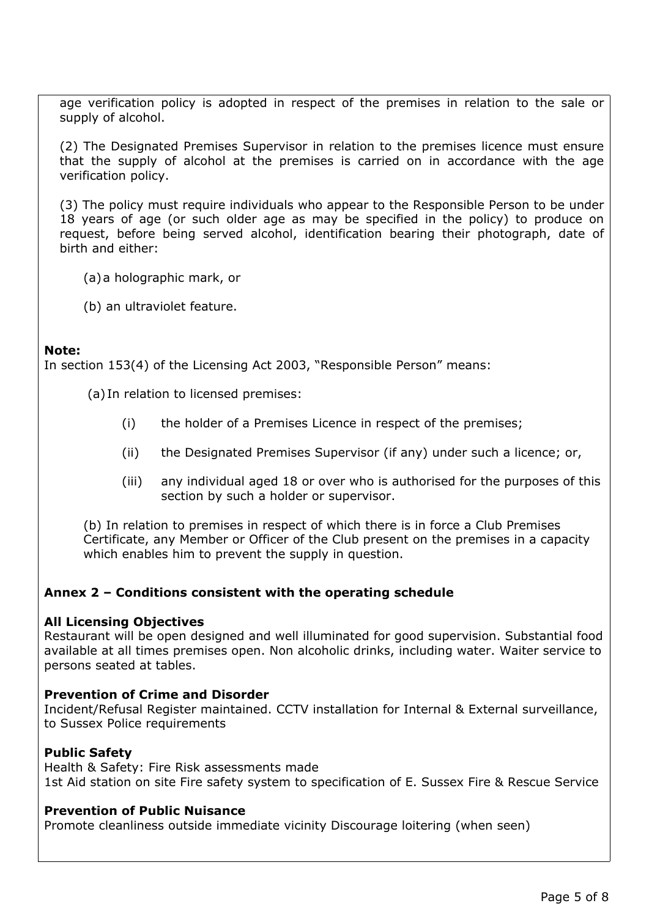age verification policy is adopted in respect of the premises in relation to the sale or supply of alcohol.

(2) The Designated Premises Supervisor in relation to the premises licence must ensure that the supply of alcohol at the premises is carried on in accordance with the age verification policy.

(3) The policy must require individuals who appear to the Responsible Person to be under 18 years of age (or such older age as may be specified in the policy) to produce on request, before being served alcohol, identification bearing their photograph, date of birth and either:

- (a)a holographic mark, or
- (b) an ultraviolet feature.

#### **Note:**

In section 153(4) of the Licensing Act 2003, "Responsible Person" means:

(a) In relation to licensed premises:

- (i) the holder of a Premises Licence in respect of the premises;
- (ii) the Designated Premises Supervisor (if any) under such a licence; or,
- (iii) any individual aged 18 or over who is authorised for the purposes of this section by such a holder or supervisor.

(b) In relation to premises in respect of which there is in force a Club Premises Certificate, any Member or Officer of the Club present on the premises in a capacity which enables him to prevent the supply in question.

## **Annex 2 – Conditions consistent with the operating schedule**

#### **All Licensing Objectives**

Restaurant will be open designed and well illuminated for good supervision. Substantial food available at all times premises open. Non alcoholic drinks, including water. Waiter service to persons seated at tables.

## **Prevention of Crime and Disorder**

Incident/Refusal Register maintained. CCTV installation for Internal & External surveillance, to Sussex Police requirements

## **Public Safety**

Health & Safety: Fire Risk assessments made 1st Aid station on site Fire safety system to specification of E. Sussex Fire & Rescue Service

## **Prevention of Public Nuisance**

Promote cleanliness outside immediate vicinity Discourage loitering (when seen)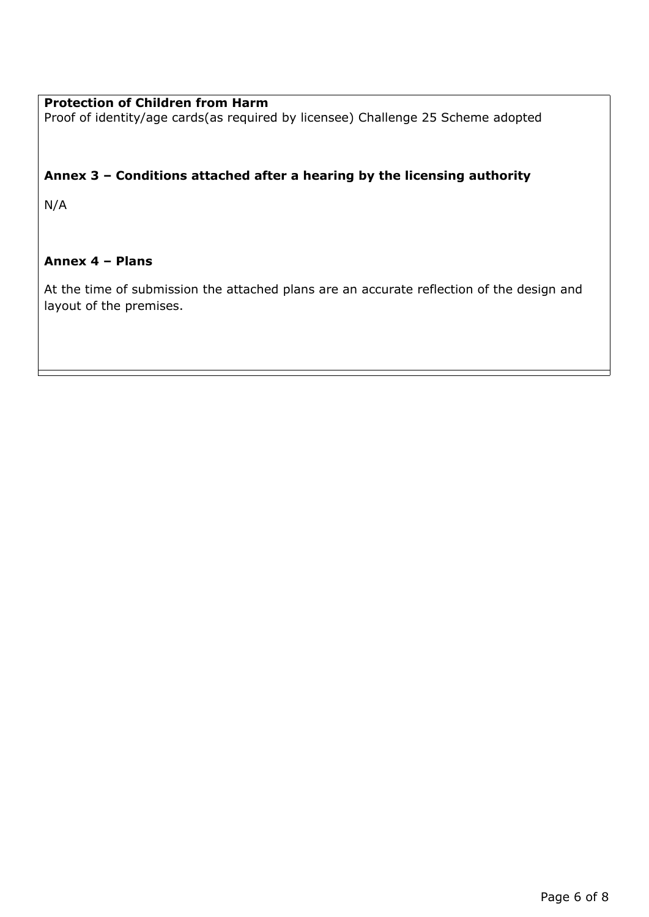# **Protection of Children from Harm**

Proof of identity/age cards(as required by licensee) Challenge 25 Scheme adopted

# **Annex 3 – Conditions attached after a hearing by the licensing authority**

N/A

## **Annex 4 – Plans**

At the time of submission the attached plans are an accurate reflection of the design and layout of the premises.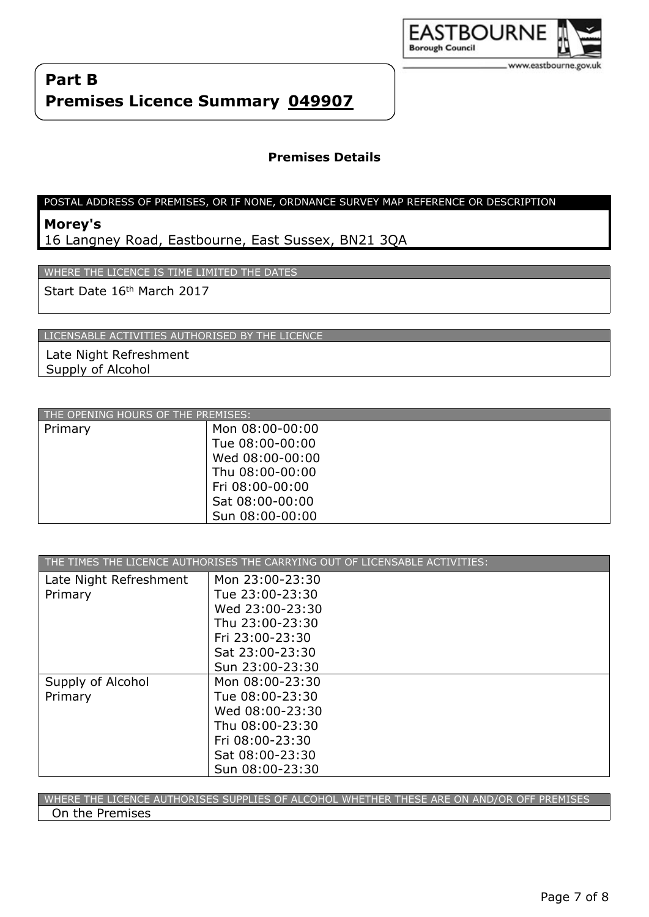

## **Premises Details**

#### POSTAL ADDRESS OF PREMISES, OR IF NONE, ORDNANCE SURVEY MAP REFERENCE OR DESCRIPTION

# **Morey's**

16 Langney Road, Eastbourne, East Sussex, BN21 3QA

WHERE THE LICENCE IS TIME LIMITED THE DATES

Start Date 16th March 2017

LICENSABLE ACTIVITIES AUTHORISED BY THE LICENCE

Late Night Refreshment Supply of Alcohol

| THE OPENING HOURS OF THE PREMISES: |                 |
|------------------------------------|-----------------|
| Primary                            | Mon 08:00-00:00 |
|                                    | Tue 08:00-00:00 |
|                                    | Wed 08:00-00:00 |
|                                    | Thu 08:00-00:00 |
|                                    | Fri 08:00-00:00 |
|                                    | Sat 08:00-00:00 |
|                                    | Sun 08:00-00:00 |

| THE TIMES THE LICENCE AUTHORISES THE CARRYING OUT OF LICENSABLE ACTIVITIES: |                 |
|-----------------------------------------------------------------------------|-----------------|
| Late Night Refreshment                                                      | Mon 23:00-23:30 |
| Primary                                                                     | Tue 23:00-23:30 |
|                                                                             | Wed 23:00-23:30 |
|                                                                             | Thu 23:00-23:30 |
|                                                                             | Fri 23:00-23:30 |
|                                                                             | Sat 23:00-23:30 |
|                                                                             | Sun 23:00-23:30 |
| Supply of Alcohol                                                           | Mon 08:00-23:30 |
| Primary                                                                     | Tue 08:00-23:30 |
|                                                                             | Wed 08:00-23:30 |
|                                                                             | Thu 08:00-23:30 |
|                                                                             | Fri 08:00-23:30 |
|                                                                             | Sat 08:00-23:30 |
|                                                                             | Sun 08:00-23:30 |

WHERE THE LICENCE AUTHORISES SUPPLIES OF ALCOHOL WHETHER THESE ARE ON AND/OR OFF PREMISES On the Premises